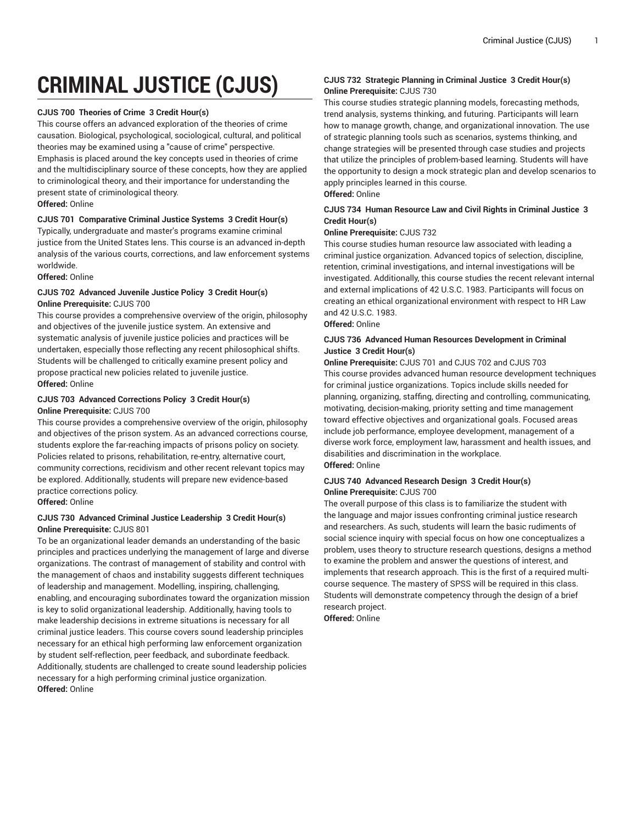# **CRIMINAL JUSTICE (CJUS)**

## **CJUS 700 Theories of Crime 3 Credit Hour(s)**

This course offers an advanced exploration of the theories of crime causation. Biological, psychological, sociological, cultural, and political theories may be examined using a "cause of crime" perspective. Emphasis is placed around the key concepts used in theories of crime and the multidisciplinary source of these concepts, how they are applied to criminological theory, and their importance for understanding the present state of criminological theory.

# **Offered:** Online

## **CJUS 701 Comparative Criminal Justice Systems 3 Credit Hour(s)**

Typically, undergraduate and master's programs examine criminal justice from the United States lens. This course is an advanced in-depth analysis of the various courts, corrections, and law enforcement systems worldwide.

**Offered:** Online

## **CJUS 702 Advanced Juvenile Justice Policy 3 Credit Hour(s) Online Prerequisite:** CJUS 700

This course provides a comprehensive overview of the origin, philosophy and objectives of the juvenile justice system. An extensive and systematic analysis of juvenile justice policies and practices will be undertaken, especially those reflecting any recent philosophical shifts. Students will be challenged to critically examine present policy and propose practical new policies related to juvenile justice. **Offered:** Online

#### **CJUS 703 Advanced Corrections Policy 3 Credit Hour(s) Online Prerequisite:** CJUS 700

This course provides a comprehensive overview of the origin, philosophy and objectives of the prison system. As an advanced corrections course, students explore the far-reaching impacts of prisons policy on society. Policies related to prisons, rehabilitation, re-entry, alternative court, community corrections, recidivism and other recent relevant topics may be explored. Additionally, students will prepare new evidence-based practice corrections policy. **Offered:** Online

# **CJUS 730 Advanced Criminal Justice Leadership 3 Credit Hour(s)**

# **Online Prerequisite:** CJUS 801

To be an organizational leader demands an understanding of the basic principles and practices underlying the management of large and diverse organizations. The contrast of management of stability and control with the management of chaos and instability suggests different techniques of leadership and management. Modelling, inspiring, challenging, enabling, and encouraging subordinates toward the organization mission is key to solid organizational leadership. Additionally, having tools to make leadership decisions in extreme situations is necessary for all criminal justice leaders. This course covers sound leadership principles necessary for an ethical high performing law enforcement organization by student self-reflection, peer feedback, and subordinate feedback. Additionally, students are challenged to create sound leadership policies necessary for a high performing criminal justice organization. **Offered:** Online

# **CJUS 732 Strategic Planning in Criminal Justice 3 Credit Hour(s) Online Prerequisite:** CJUS 730

This course studies strategic planning models, forecasting methods, trend analysis, systems thinking, and futuring. Participants will learn how to manage growth, change, and organizational innovation. The use of strategic planning tools such as scenarios, systems thinking, and change strategies will be presented through case studies and projects that utilize the principles of problem-based learning. Students will have the opportunity to design a mock strategic plan and develop scenarios to apply principles learned in this course.

# **Offered:** Online

# **CJUS 734 Human Resource Law and Civil Rights in Criminal Justice 3 Credit Hour(s)**

## **Online Prerequisite:** CJUS 732

This course studies human resource law associated with leading a criminal justice organization. Advanced topics of selection, discipline, retention, criminal investigations, and internal investigations will be investigated. Additionally, this course studies the recent relevant internal and external implications of 42 U.S.C. 1983. Participants will focus on creating an ethical organizational environment with respect to HR Law and 42 U.S.C. 1983.

**Offered:** Online

#### **CJUS 736 Advanced Human Resources Development in Criminal Justice 3 Credit Hour(s)**

**Online Prerequisite:** CJUS 701 and CJUS 702 and CJUS 703 This course provides advanced human resource development techniques for criminal justice organizations. Topics include skills needed for planning, organizing, staffing, directing and controlling, communicating, motivating, decision-making, priority setting and time management toward effective objectives and organizational goals. Focused areas include job performance, employee development, management of a diverse work force, employment law, harassment and health issues, and disabilities and discrimination in the workplace. **Offered:** Online

# **CJUS 740 Advanced Research Design 3 Credit Hour(s) Online Prerequisite:** CJUS 700

The overall purpose of this class is to familiarize the student with the language and major issues confronting criminal justice research and researchers. As such, students will learn the basic rudiments of social science inquiry with special focus on how one conceptualizes a problem, uses theory to structure research questions, designs a method to examine the problem and answer the questions of interest, and implements that research approach. This is the first of a required multicourse sequence. The mastery of SPSS will be required in this class. Students will demonstrate competency through the design of a brief research project.

**Offered:** Online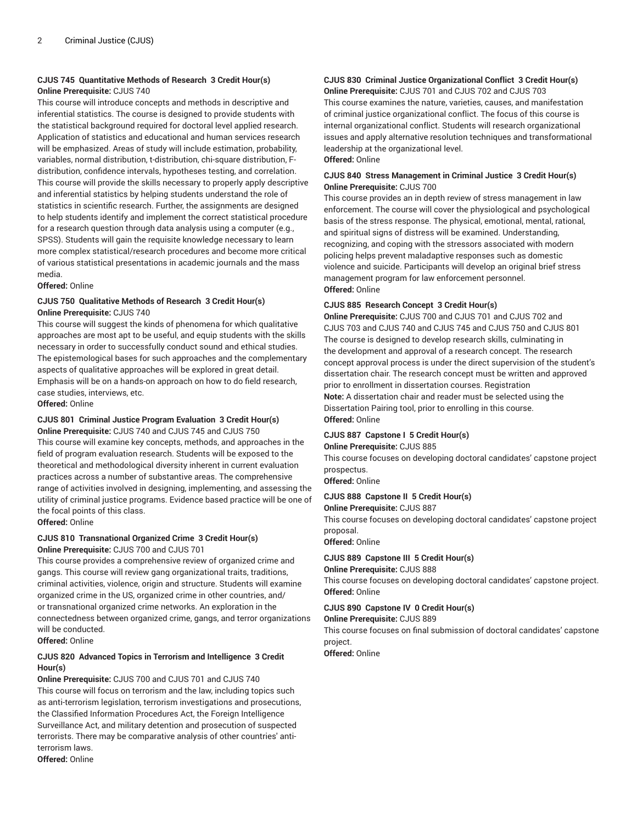## **CJUS 745 Quantitative Methods of Research 3 Credit Hour(s) Online Prerequisite:** CJUS 740

This course will introduce concepts and methods in descriptive and inferential statistics. The course is designed to provide students with the statistical background required for doctoral level applied research. Application of statistics and educational and human services research will be emphasized. Areas of study will include estimation, probability, variables, normal distribution, t-distribution, chi-square distribution, Fdistribution, confidence intervals, hypotheses testing, and correlation. This course will provide the skills necessary to properly apply descriptive and inferential statistics by helping students understand the role of statistics in scientific research. Further, the assignments are designed to help students identify and implement the correct statistical procedure for a research question through data analysis using a computer (e.g., SPSS). Students will gain the requisite knowledge necessary to learn more complex statistical/research procedures and become more critical of various statistical presentations in academic journals and the mass media.

**Offered:** Online

## **CJUS 750 Qualitative Methods of Research 3 Credit Hour(s) Online Prerequisite:** CJUS 740

This course will suggest the kinds of phenomena for which qualitative approaches are most apt to be useful, and equip students with the skills necessary in order to successfully conduct sound and ethical studies. The epistemological bases for such approaches and the complementary aspects of qualitative approaches will be explored in great detail. Emphasis will be on a hands-on approach on how to do field research, case studies, interviews, etc.

**Offered:** Online

# **CJUS 801 Criminal Justice Program Evaluation 3 Credit Hour(s)**

**Online Prerequisite:** CJUS 740 and CJUS 745 and CJUS 750 This course will examine key concepts, methods, and approaches in the field of program evaluation research. Students will be exposed to the theoretical and methodological diversity inherent in current evaluation practices across a number of substantive areas. The comprehensive range of activities involved in designing, implementing, and assessing the utility of criminal justice programs. Evidence based practice will be one of the focal points of this class.

**Offered:** Online

# **CJUS 810 Transnational Organized Crime 3 Credit Hour(s) Online Prerequisite:** CJUS 700 and CJUS 701

This course provides a comprehensive review of organized crime and

gangs. This course will review gang organizational traits, traditions, criminal activities, violence, origin and structure. Students will examine organized crime in the US, organized crime in other countries, and/ or transnational organized crime networks. An exploration in the connectedness between organized crime, gangs, and terror organizations will be conducted.

**Offered:** Online

# **CJUS 820 Advanced Topics in Terrorism and Intelligence 3 Credit Hour(s)**

**Online Prerequisite:** CJUS 700 and CJUS 701 and CJUS 740 This course will focus on terrorism and the law, including topics such as anti-terrorism legislation, terrorism investigations and prosecutions, the Classified Information Procedures Act, the Foreign Intelligence Surveillance Act, and military detention and prosecution of suspected terrorists. There may be comparative analysis of other countries' antiterrorism laws.

**Offered:** Online

#### **CJUS 830 Criminal Justice Organizational Conflict 3 Credit Hour(s) Online Prerequisite:** CJUS 701 and CJUS 702 and CJUS 703

This course examines the nature, varieties, causes, and manifestation of criminal justice organizational conflict. The focus of this course is internal organizational conflict. Students will research organizational issues and apply alternative resolution techniques and transformational leadership at the organizational level. **Offered:** Online

# **CJUS 840 Stress Management in Criminal Justice 3 Credit Hour(s) Online Prerequisite:** CJUS 700

This course provides an in depth review of stress management in law enforcement. The course will cover the physiological and psychological basis of the stress response. The physical, emotional, mental, rational, and spiritual signs of distress will be examined. Understanding, recognizing, and coping with the stressors associated with modern policing helps prevent maladaptive responses such as domestic violence and suicide. Participants will develop an original brief stress management program for law enforcement personnel. **Offered:** Online

# **CJUS 885 Research Concept 3 Credit Hour(s)**

**Online Prerequisite:** CJUS 700 and CJUS 701 and CJUS 702 and CJUS 703 and CJUS 740 and CJUS 745 and CJUS 750 and CJUS 801 The course is designed to develop research skills, culminating in the development and approval of a research concept. The research concept approval process is under the direct supervision of the student's dissertation chair. The research concept must be written and approved prior to enrollment in dissertation courses. Registration **Note:** A dissertation chair and reader must be selected using the

Dissertation Pairing tool, prior to enrolling in this course. **Offered:** Online

# **CJUS 887 Capstone I 5 Credit Hour(s)**

**Online Prerequisite:** CJUS 885

This course focuses on developing doctoral candidates' capstone project prospectus.

# **Offered:** Online

# **CJUS 888 Capstone II 5 Credit Hour(s)**

**Online Prerequisite:** CJUS 887 This course focuses on developing doctoral candidates' capstone project proposal.

**Offered:** Online

# **CJUS 889 Capstone III 5 Credit Hour(s)**

**Online Prerequisite:** CJUS 888

This course focuses on developing doctoral candidates' capstone project. **Offered:** Online

# **CJUS 890 Capstone IV 0 Credit Hour(s)**

**Online Prerequisite:** CJUS 889

This course focuses on final submission of doctoral candidates' capstone project.

**Offered:** Online